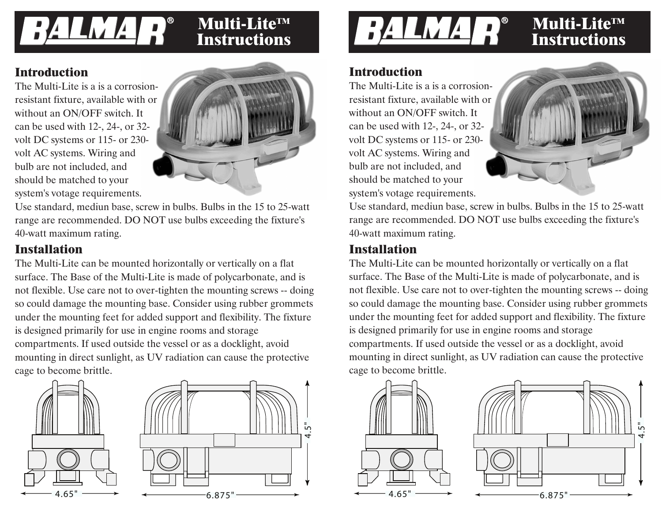# **R**

## **Instructions**

#### **Introduction**

The Multi-Lite is a is a corrosionresistant fixture, available with or without an ON/OFF switch. It can be used with 12-, 24-, or 32 volt DC systems or 115- or 230 volt AC systems. Wiring and bulb are not included, and should be matched to your system's votage requirements.



Use standard, mediun base, screw in bulbs. Bulbs in the 15 to 25-watt range are recommended. DO NOT use bulbs exceeding the fixture's 40-watt maximum rating.

#### **Installation**

The Multi-Lite can be mounted horizontally or vertically on a flat surface. The Base of the Multi-Lite is made of polycarbonate, and is not flexible. Use care not to over-tighten the mounting screws -- doing so could damage the mounting base. Consider using rubber grommets under the mounting feet for added support and flexibility. The fixture is designed primarily for use in engine rooms and storage compartments. If used outside the vessel or as a docklight, avoid mounting in direct sunlight, as UV radiation can cause the protective cage to become brittle.





#### **Introduction**

The Multi-Lite is a is a corrosionresistant fixture, available with or without an ON/OFF switch. It can be used with 12-, 24-, or 32 volt DC systems or 115- or 230 volt AC systems. Wiring and bulb are not included, and should be matched to your system's votage requirements.



Use standard, mediun base, screw in bulbs. Bulbs in the 15 to 25-watt range are recommended. DO NOT use bulbs exceeding the fixture's 40-watt maximum rating.

#### **Installation**

The Multi-Lite can be mounted horizontally or vertically on a flat surface. The Base of the Multi-Lite is made of polycarbonate, and is not flexible. Use care not to over-tighten the mounting screws -- doing so could damage the mounting base. Consider using rubber grommets under the mounting feet for added support and flexibility. The fixture is designed primarily for use in engine rooms and storage compartments. If used outside the vessel or as a docklight, avoid mounting in direct sunlight, as UV radiation can cause the protective cage to become brittle.